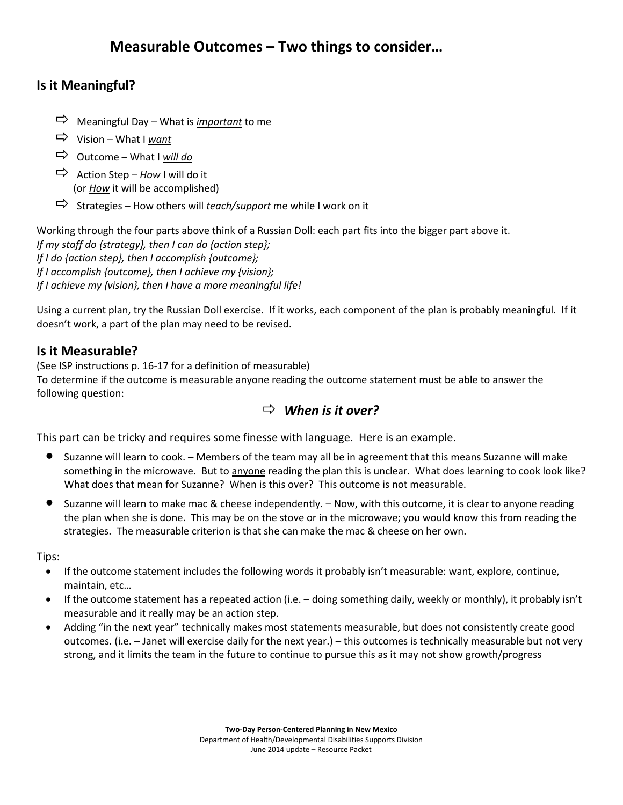## **Is it Meaningful?**

- $\Rightarrow$  Meaningful Day What is *important* to me
- Vision What I *want*
- $\Rightarrow$  Outcome What I will do
- $\Rightarrow$  Action Step *How* I will do it (or *How* it will be accomplished)
- $\Rightarrow$  Strategies How others will *teach/support* me while I work on it

Working through the four parts above think of a Russian Doll: each part fits into the bigger part above it. *If my staff do {strategy}, then I can do {action step}; If I do {action step}, then I accomplish {outcome}; If I accomplish {outcome}, then I achieve my {vision}; If I achieve my {vision}, then I have a more meaningful life!*

Using a current plan, try the Russian Doll exercise. If it works, each component of the plan is probably meaningful. If it doesn't work, a part of the plan may need to be revised.

## **Is it Measurable?**

(See ISP instructions p. 16-17 for a definition of measurable)

To determine if the outcome is measurable anyone reading the outcome statement must be able to answer the following question:

## *When is it over?*

This part can be tricky and requires some finesse with language. Here is an example.

- Suzanne will learn to cook. Members of the team may all be in agreement that this means Suzanne will make something in the microwave. But to anyone reading the plan this is unclear. What does learning to cook look like? What does that mean for Suzanne? When is this over? This outcome is not measurable.
- Suzanne will learn to make mac & cheese independently. Now, with this outcome, it is clear to anyone reading the plan when she is done. This may be on the stove or in the microwave; you would know this from reading the strategies. The measurable criterion is that she can make the mac & cheese on her own.

Tips:

- If the outcome statement includes the following words it probably isn't measurable: want, explore, continue, maintain, etc…
- If the outcome statement has a repeated action (i.e. doing something daily, weekly or monthly), it probably isn't measurable and it really may be an action step.
- Adding "in the next year" technically makes most statements measurable, but does not consistently create good outcomes. (i.e. – Janet will exercise daily for the next year.) – this outcomes is technically measurable but not very strong, and it limits the team in the future to continue to pursue this as it may not show growth/progress